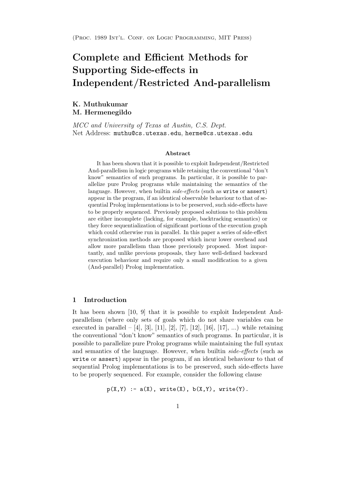# Complete and Efficient Methods for Supporting Side-effects in Independent/Restricted And-parallelism

K. Muthukumar M. Hermenegildo

MCC and University of Texas at Austin, C.S. Dept. Net Address: muthu@cs.utexas.edu, herme@cs.utexas.edu

#### Abstract

It has been shown that it is possible to exploit Independent/Restricted And-parallelism in logic programs while retaining the conventional "don't know" semantics of such programs. In particular, it is possible to parallelize pure Prolog programs while maintaining the semantics of the language. However, when builtin side-effects (such as write or assert) appear in the program, if an identical observable behaviour to that of sequential Prolog implementations is to be preserved, such side-effects have to be properly sequenced. Previously proposed solutions to this problem are either incomplete (lacking, for example, backtracking semantics) or they force sequentialization of significant portions of the execution graph which could otherwise run in parallel. In this paper a series of side-effect synchronization methods are proposed which incur lower overhead and allow more parallelism than those previously proposed. Most importantly, and unlike previous proposals, they have well-defined backward execution behaviour and require only a small modification to a given (And-parallel) Prolog implementation.

#### 1 Introduction

It has been shown [10, 9] that it is possible to exploit Independent Andparallelism (where only sets of goals which do not share variables can be executed in parallel – [4], [3], [11], [2], [7], [12], [16], [17], ...) while retaining the conventional "don't know" semantics of such programs. In particular, it is possible to parallelize pure Prolog programs while maintaining the full syntax and semantics of the language. However, when builtin side-effects (such as write or assert) appear in the program, if an identical behaviour to that of sequential Prolog implementations is to be preserved, such side-effects have to be properly sequenced. For example, consider the following clause

 $p(X,Y)$  :-  $a(X)$ , write(X),  $b(X,Y)$ , write(Y).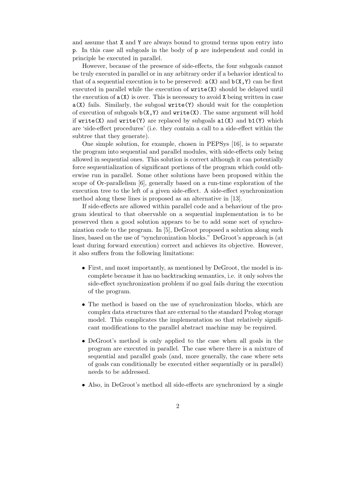and assume that X and Y are always bound to ground terms upon entry into p. In this case all subgoals in the body of p are independent and could in principle be executed in parallel.

However, because of the presence of side-effects, the four subgoals cannot be truly executed in parallel or in any arbitrary order if a behavior identical to that of a sequential execution is to be preserved:  $a(X)$  and  $b(X,Y)$  can be first executed in parallel while the execution of write(X) should be delayed until the execution of  $a(X)$  is over. This is necessary to avoid X being written in case  $a(X)$  fails. Similarly, the subgoal  $write(Y)$  should wait for the completion of execution of subgoals  $b(X,Y)$  and  $write(X)$ . The same argument will hold if write(X) and write(Y) are replaced by subgoals  $a1(X)$  and  $b1(Y)$  which are 'side-effect procedures' (i.e. they contain a call to a side-effect within the subtree that they generate).

One simple solution, for example, chosen in PEPSys [16], is to separate the program into sequential and parallel modules, with side-effects only being allowed in sequential ones. This solution is correct although it can potentially force sequentialization of significant portions of the program which could otherwise run in parallel. Some other solutions have been proposed within the scope of Or-parallelism [6], generally based on a run-time exploration of the execution tree to the left of a given side-effect. A side-effect synchronization method along these lines is proposed as an alternative in [13].

If side-effects are allowed within parallel code and a behaviour of the program identical to that observable on a sequential implementation is to be preserved then a good solution appears to be to add some sort of synchronization code to the program. In [5], DeGroot proposed a solution along such lines, based on the use of "synchronization blocks." DeGroot's approach is (at least during forward execution) correct and achieves its objective. However, it also suffers from the following limitations:

- First, and most importantly, as mentioned by DeGroot, the model is incomplete because it has no backtracking semantics, i.e. it only solves the side-effect synchronization problem if no goal fails during the execution of the program.
- The method is based on the use of synchronization blocks, which are complex data structures that are external to the standard Prolog storage model. This complicates the implementation so that relatively significant modifications to the parallel abstract machine may be required.
- DeGroot's method is only applied to the case when all goals in the program are executed in parallel. The case where there is a mixture of sequential and parallel goals (and, more generally, the case where sets of goals can conditionally be executed either sequentially or in parallel) needs to be addressed.
- Also, in DeGroot's method all side-effects are synchronized by a single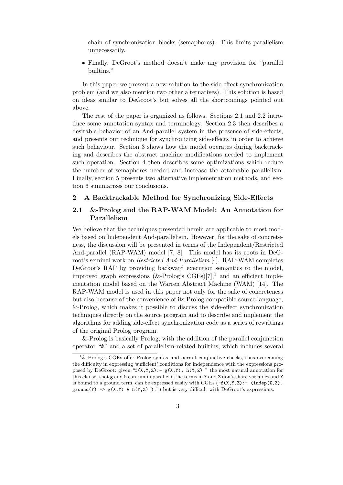chain of synchronization blocks (semaphores). This limits parallelism unnecessarily.

• Finally, DeGroot's method doesn't make any provision for "parallel builtins."

In this paper we present a new solution to the side-effect synchronization problem (and we also mention two other alternatives). This solution is based on ideas similar to DeGroot's but solves all the shortcomings pointed out above.

The rest of the paper is organized as follows. Sections 2.1 and 2.2 introduce some annotation syntax and terminology. Section 2.3 then describes a desirable behavior of an And-parallel system in the presence of side-effects, and presents our technique for synchronizing side-effects in order to achieve such behaviour. Section 3 shows how the model operates during backtracking and describes the abstract machine modifications needed to implement such operation. Section 4 then describes some optimizations which reduce the number of semaphores needed and increase the attainable parallelism. Finally, section 5 presents two alternative implementation methods, and section 6 summarizes our conclusions.

## 2 A Backtrackable Method for Synchronizing Side-Effects

# 2.1 &-Prolog and the RAP-WAM Model: An Annotation for Parallelism

We believe that the techniques presented herein are applicable to most models based on Independent And-parallelism. However, for the sake of concreteness, the discussion will be presented in terms of the Independent/Restricted And-parallel (RAP-WAM) model [7, 8]. This model has its roots in DeGroot's seminal work on Restricted And-Parallelism [4]. RAP-WAM completes DeGroot's RAP by providing backward execution semantics to the model, improved graph expressions (&-Prolog's CGEs)[7],<sup>1</sup> and an efficient implementation model based on the Warren Abstract Machine (WAM) [14]. The RAP-WAM model is used in this paper not only for the sake of concreteness but also because of the convenience of its Prolog-compatible source language, &-Prolog, which makes it possible to discuss the side-effect synchronization techniques directly on the source program and to describe and implement the algorithms for adding side-effect synchronization code as a series of rewritings of the original Prolog program.

&-Prolog is basically Prolog, with the addition of the parallel conjunction operator "&" and a set of parallelism-related builtins, which includes several

 $1\text{\&-}$  Prolog's CGEs offer Prolog syntax and permit conjunctive checks, thus overcoming the difficulty in expressing 'sufficient' conditions for independence with the expressions proposed by DeGroot: given " $f(X,Y,Z)$ :-  $g(X,Y)$ ,  $h(Y,Z)$ ." the most natural annotation for this clause, that g and h can run in parallel if the terms in X and Z don't share variables and Y is bound to a ground term, can be expressed easily with CGEs (" $f(X,Y,Z)$ :- (indep(X,Z), ground(Y) =>  $g(X, Y)$  & h(Y,Z)).") but is very difficult with DeGroot's expressions.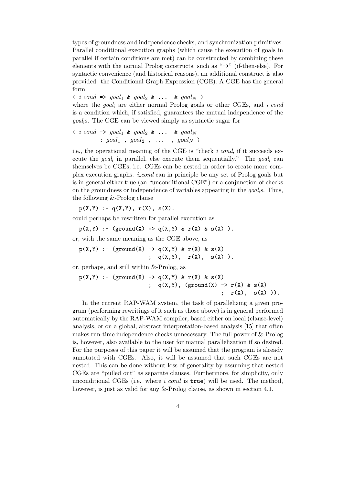types of groundness and independence checks, and synchronization primitives. Parallel conditional execution graphs (which cause the execution of goals in parallel if certain conditions are met) can be constructed by combining these elements with the normal Prolog constructs, such as "->" (if-then-else). For syntactic convenience (and historical reasons), an additional construct is also provided: the Conditional Graph Expression (CGE). A CGE has the general form

(  $i\_{cond} \Rightarrow goal_1 \& goal_2 \& \dots \& goal_N$ )

where the *goal*<sub>i</sub> are either normal Prolog goals or other CGEs, and *i\_cond* is a condition which, if satisfied, guarantees the mutual independence of the goalis. The CGE can be viewed simply as syntactic sugar for

(*i*<sub>1</sub> *cond* 
$$
\rightarrow
$$
 *goal*<sub>1</sub>  $\&$  *goal*<sub>2</sub>  $\&$   $\dots$   $\&$  *goal*<sub>N</sub>  $\Rightarrow$  *goal*<sub>1</sub> , *goal*<sub>2</sub> ,  $\dots$  , *goal*<sub>N</sub>  $\rangle$ 

i.e., the operational meaning of the CGE is "check *i.cond*, if it succeeds execute the  $goal_i$  in parallel, else execute them sequentially." The  $goal_i$  can themselves be CGEs, i.e. CGEs can be nested in order to create more complex execution graphs. i cond can in principle be any set of Prolog goals but is in general either true (an "unconditional CGE") or a conjunction of checks on the groundness or independence of variables appearing in the  $qoa<sub>l</sub>$ s. Thus, the following &-Prolog clause

 $p(X,Y) := q(X,Y), r(X), s(X).$ 

could perhaps be rewritten for parallel execution as

$$
p(X,Y) := (ground(X) \implies q(X,Y) \& r(X) \& s(X) ).
$$

or, with the same meaning as the CGE above, as

 $p(X,Y)$  :- (ground(X) ->  $q(X,Y)$  &  $r(X)$  &  $s(X)$ ;  $q(X,Y)$ ,  $r(X)$ ,  $s(X)$ ).

or, perhaps, and still within &-Prolog, as

$$
p(X,Y) := (\text{ground}(X) \rightarrow q(X,Y) \& r(X) \& s(X) \\
 \vdots \quad q(X,Y), \quad (\text{ground}(X) \rightarrow r(X) \& s(X)) \\
 \vdots \quad r(X), \quad s(X) \quad )\,.
$$

In the current RAP-WAM system, the task of parallelizing a given program (performing rewritings of it such as those above) is in general performed automatically by the RAP-WAM compiler, based either on local (clause-level) analysis, or on a global, abstract interpretation-based analysis [15] that often makes run-time independence checks unnecessary. The full power of &-Prolog is, however, also available to the user for manual parallelization if so desired. For the purposes of this paper it will be assumed that the program is already annotated with CGEs. Also, it will be assumed that such CGEs are not nested. This can be done without loss of generality by assuming that nested CGEs are "pulled out" as separate clauses. Furthermore, for simplicity, only unconditional CGEs (i.e. where  $i\_{cond}$  is true) will be used. The method, however, is just as valid for any &-Prolog clause, as shown in section 4.1.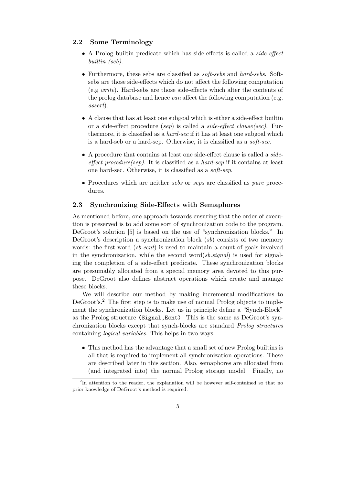# 2.2 Some Terminology

- A Prolog builtin predicate which has side-effects is called a side-effect builtin (seb).
- Furthermore, these sebs are classified as soft-sebs and hard-sebs. Softsebs are those side-effects which do not affect the following computation (e.g write). Hard-sebs are those side-effects which alter the contents of the prolog database and hence can affect the following computation (e.g. assert).
- A clause that has at least one subgoal which is either a side-effect builtin or a side-effect procedure (sep) is called a side-effect clause(sec). Furthermore, it is classified as a *hard-sec* if it has at least one subgoal which is a hard-seb or a hard-sep. Otherwise, it is classified as a soft-sec.
- A procedure that contains at least one side-effect clause is called a sideeffect procedure(sep). It is classified as a hard-sep if it contains at least one hard-sec. Otherwise, it is classified as a soft-sep.
- Procedures which are neither sebs or seps are classified as pure procedures.

#### 2.3 Synchronizing Side-Effects with Semaphores

As mentioned before, one approach towards ensuring that the order of execution is preserved is to add some sort of synchronization code to the program. DeGroot's solution [5] is based on the use of "synchronization blocks." In DeGroot's description a synchronization block  $(sb)$  consists of two memory words: the first word *(sb.ecnt)* is used to maintain a count of goals involved in the synchronization, while the second word $(sb \text{.} signal)$  is used for signaling the completion of a side-effect predicate. These synchronization blocks are presumably allocated from a special memory area devoted to this purpose. DeGroot also defines abstract operations which create and manage these blocks.

We will describe our method by making incremental modifications to DeGroot's.<sup>2</sup> The first step is to make use of normal Prolog objects to implement the synchronization blocks. Let us in principle define a "Synch-Block" as the Prolog structure (Signal,Ecnt). This is the same as DeGroot's synchronization blocks except that synch-blocks are standard Prolog structures containing logical variables. This helps in two ways:

• This method has the advantage that a small set of new Prolog builtins is all that is required to implement all synchronization operations. These are described later in this section. Also, semaphores are allocated from (and integrated into) the normal Prolog storage model. Finally, no

<sup>&</sup>lt;sup>2</sup>In attention to the reader, the explanation will be however self-contained so that no prior knowledge of DeGroot's method is required.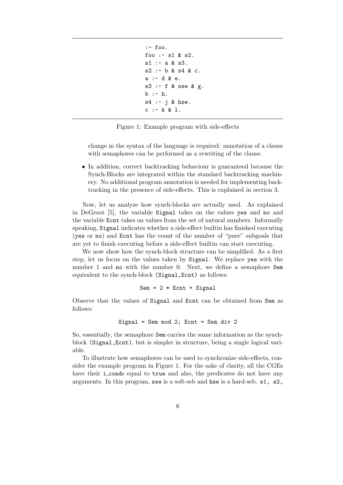```
:- foo.
foo :- s1 & s2.
s1 := a & s3.s2 :- b & s4 & c.
a :- d & e.
s3 :- f & sse & g.
b :- h.
s4 :- j & hse.
c :- k & l.
```
Figure 1: Example program with side-effects

change in the syntax of the language is required: annotation of a clause with semaphores can be performed as a rewriting of the clause.

• In addition, correct backtracking behaviour is guaranteed because the Synch-Blocks are integrated within the standard backtracking machinery. No additional program annotation is needed for implementing backtracking in the presence of side-effects. This is explained in section 3.

Now, let us analyze how synch-blocks are actually used. As explained in DeGroot [5], the variable Signal takes on the values yes and no and the variable Ecnt takes on values from the set of natural numbers. Informally speaking, Signal indicates whether a side-effect builtin has finished executing (yes or no) and Ecnt has the count of the number of "pure" subgoals that are yet to finish executing before a side-effect builtin can start executing.

We now show how the synch-block structure can be simplified. As a first step, let us focus on the values taken by Signal. We replace yes with the number 1 and no with the number 0. Next, we define a semaphore Sem equivalent to the synch-block (Signal,Ecnt) as follows:

$$
Sem = 2 * Ent + Signal
$$

Observe that the values of Signal and Ecnt can be obtained from Sem as follows:

$$
Signal = Sem mod 2; Ent = Sem div 2
$$

So, essentially, the semaphore Sem carries the same information as the synchblock (Signal,Ecnt), but is simpler in structure, being a single logical variable.

To illustrate how semaphores can be used to synchronize side-effects, consider the example program in Figure 1. For the sake of clarity, all the CGEs have their i\_conds equal to true and also, the predicates do not have any arguments. In this program, sse is a soft-seb and hse is a hard-seb. s1, s2,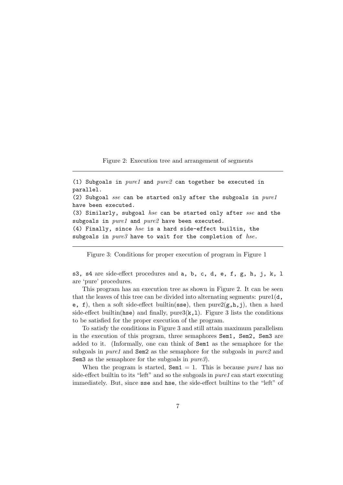Figure 2: Execution tree and arrangement of segments

(1) Subgoals in  $pure1$  and  $pure2$  can together be executed in parallel. (2) Subgoal sse can be started only after the subgoals in pure1 have been executed. (3) Similarly, subgoal hse can be started only after sse and the subgoals in  $pure1$  and  $pure2$  have been executed. (4) Finally, since  $hse$  is a hard side-effect builtin, the subgoals in  $pure3$  have to wait for the completion of hse.

Figure 3: Conditions for proper execution of program in Figure 1

s3, s4 are side-effect procedures and a, b, c, d, e, f, g, h, j, k, l are 'pure' procedures.

This program has an execution tree as shown in Figure 2. It can be seen that the leaves of this tree can be divided into alternating segments: pure  $(d,$ e, f), then a soft side-effect builtin(sse), then pure $2(g,h,j)$ , then a hard side-effect builtin(hse) and finally, pure $3(k,1)$ . Figure 3 lists the conditions to be satisfied for the proper execution of the program.

To satisfy the conditions in Figure 3 and still attain maximum parallelism in the execution of this program, three semaphores Sem1, Sem2, Sem3 are added to it. (Informally, one can think of Sem1 as the semaphore for the subgoals in *pure1* and **Sem2** as the semaphore for the subgoals in *pure2* and Sem3 as the semaphore for the subgoals in  $pure3$ .

When the program is started,  $\texttt{Sem1} = 1$ . This is because *pure1* has no side-effect builtin to its "left" and so the subgoals in *pure1* can start executing immediately. But, since sse and hse, the side-effect builtins to the "left" of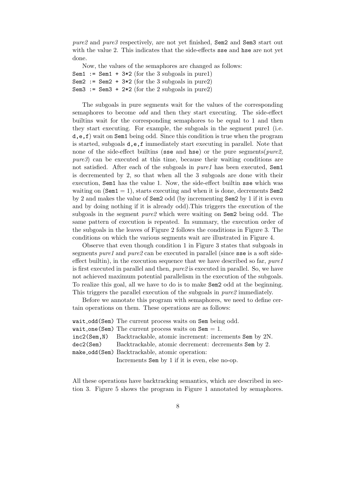pure2 and pure3 respectively, are not yet finished, Sem2 and Sem3 start out with the value 2. This indicates that the side-effects sse and hse are not yet done.

Now, the values of the semaphores are changed as follows: Sem1 :=  $Sem1 + 3*2$  (for the 3 subgoals in pure1) Sem2 :=  $Sem2 + 3*2$  (for the 3 subgoals in pure2) Sem3 := Sem3 +  $2*2$  (for the 2 subgoals in pure2)

The subgoals in pure segments wait for the values of the corresponding semaphores to become odd and then they start executing. The side-effect builtins wait for the corresponding semaphores to be equal to 1 and then they start executing. For example, the subgoals in the segment pure1 (i.e. d,e,f) wait on Sem1 being odd. Since this condition is true when the program is started, subgoals d,e,f immediately start executing in parallel. Note that none of the side-effect builtins (ssee and hse) or the pure segments (*pure2*, pure3) can be executed at this time, because their waiting conditions are not satisfied. After each of the subgoals in pure1 has been executed, Sem1 is decremented by 2, so that when all the 3 subgoals are done with their execution, Sem1 has the value 1. Now, the side-effect builtin sse which was waiting on  $(Sem1 = 1)$ , starts executing and when it is done, decrements  $Sem2$ by 2 and makes the value of Sem2 odd (by incrementing Sem2 by 1 if it is even and by doing nothing if it is already odd).This triggers the execution of the subgoals in the segment pure2 which were waiting on Sem2 being odd. The same pattern of execution is repeated. In summary, the execution order of the subgoals in the leaves of Figure 2 follows the conditions in Figure 3. The conditions on which the various segments wait are illustrated in Figure 4.

Observe that even though condition 1 in Figure 3 states that subgoals in segments pure1 and pure2 can be executed in parallel (since sse is a soft sideeffect builtin), in the execution sequence that we have described so far,  $pure1$ is first executed in parallel and then, pure2 is executed in parallel. So, we have not achieved maximum potential parallelism in the execution of the subgoals. To realize this goal, all we have to do is to make Sem2 odd at the beginning. This triggers the parallel execution of the subgoals in pure2 immediately.

Before we annotate this program with semaphores, we need to define certain operations on them. These operations are as follows:

| wait_odd(Sem) The current process waits on Sem being odd.             |
|-----------------------------------------------------------------------|
| wait_one(Sem) The current process waits on $Sem = 1$ .                |
| $inc2(Sem, N)$ Backtrackable, atomic increment: increments Sem by 2N. |
| dec2(Sem) Backtrackable, atomic decrement: decrements Sem by 2.       |
| make_odd(Sem) Backtrackable, atomic operation:                        |
| Increments Sem by 1 if it is even, else no-op.                        |

All these operations have backtracking semantics, which are described in section 3. Figure 5 shows the program in Figure 1 annotated by semaphores.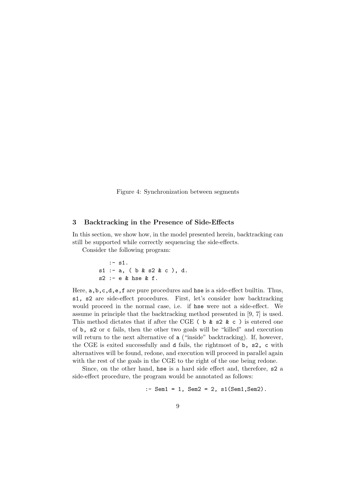Figure 4: Synchronization between segments

## 3 Backtracking in the Presence of Side-Effects

In this section, we show how, in the model presented herein, backtracking can still be supported while correctly sequencing the side-effects.

Consider the following program:

:- s1. s1 :- a, ( b & s2 & c ), d. s2 :- e & hse & f.

Here,  $a, b, c, d, e, f$  are pure procedures and hse is a side-effect builtin. Thus, s1, s2 are side-effect procedures. First, let's consider how backtracking would proceed in the normal case, i.e. if hse were not a side-effect. We assume in principle that the backtracking method presented in [9, 7] is used. This method dictates that if after the CGE (  $\triangleright$  &  $\triangleright$   $\triangleright$   $\triangleright$   $\triangleright$   $\triangleright$  entered one of b, s2 or c fails, then the other two goals will be "killed" and execution will return to the next alternative of a ("inside" backtracking). If, however, the CGE is exited successfully and d fails, the rightmost of b, s2, c with alternatives will be found, redone, and execution will proceed in parallel again with the rest of the goals in the CGE to the right of the one being redone.

Since, on the other hand, hse is a hard side effect and, therefore, s2 a side-effect procedure, the program would be annotated as follows:

```
:- Sem1 = 1, Sem2 = 2, s1(Sem1, Sem2).
```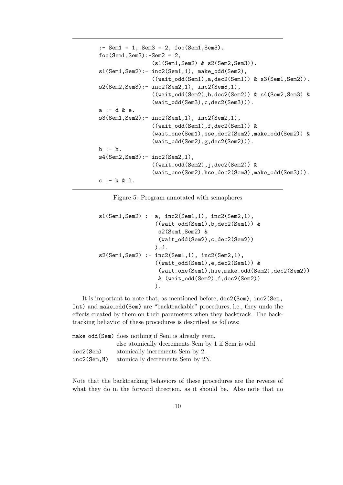```
:- Sem1 = 1, Sem3 = 2, foo(Sem1, Sem3).
foo(Sem1, Sem3):-Sem2 = 2,(s1(Sem1,Sem2) & s2(Sem2,Sem3)).
s1(Sem1,Sem2):- inc2(Sem1,1), make_odd(Sem2),
                ((wait\_odd(Sem1), a, dec2(Sem1)) & s3(Sem1, Sem2)).
s2(Sem2, Sem3): - inc2(Sem2,1), inc2(Sem3,1),((wait_odd(Sem2),b,dec2(Sem2)) & s4(Sem2,Sem3) &
                (wait_odd(Sem3),c,dec2(Sem3))).
a :- d & e.
s3(Sem1,Sem2):- inc2(Sem1,1), inc2(Sem2,1),
                ((wait_odd(Sem1),f,dec2(Sem1)) &
                (wait_one(Sem1),sse,dec2(Sem2),make_odd(Sem2)) &
                (wait_odd(Sem2),g,dec2(Sem2))).
b := h.
s4(Sem2,Sem3):- inc2(Sem2,1),
                ((wait_odd(Sem2),j,dec2(Sem2)) &
                (wait_one(Sem2),hse,dec2(Sem3),make_odd(Sem3))).
c :- k & l.
```
Figure 5: Program annotated with semaphores

```
s1(Sem1, Sem2) :- a, inc2(Sem1,1), inc2(Sem2,1),
                 ((wait_odd(Sem1),b,dec2(Sem1)) &
                  s2(Sem1,Sem2) &
                  (wait_odd(Sem2),c,dec2(Sem2))
                 ),d.
s2(Sem1, Sem2) :- inc2(Sem1,1), inc2(Sem2,1),
                 ((wait_odd(Sem1),e,dec2(Sem1)) &
                  (wait_one(Sem1),hse,make_odd(Sem2),dec2(Sem2))
                  & (wait_odd(Sem2),f,dec2(Sem2))
                 ).
```
It is important to note that, as mentioned before, dec2(Sem), inc2(Sem, Int) and make odd(Sem) are "backtrackable" procedures, i.e., they undo the effects created by them on their parameters when they backtrack. The backtracking behavior of these procedures is described as follows:

|             | make_odd(Sem) does nothing if Sem is already even, |
|-------------|----------------------------------------------------|
|             | else atomically decrements Sem by 1 if Sem is odd. |
| dec2(Sem)   | atomically increments Sem by 2.                    |
| inc2(Sem.N) | atomically decrements Sem by 2N.                   |

Note that the backtracking behaviors of these procedures are the reverse of what they do in the forward direction, as it should be. Also note that no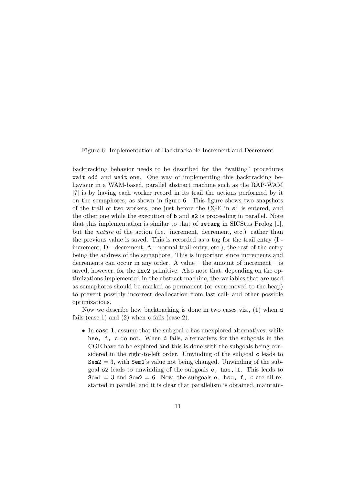Figure 6: Implementation of Backtrackable Increment and Decrement

backtracking behavior needs to be described for the "waiting" procedures wait odd and wait one. One way of implementing this backtracking behaviour in a WAM-based, parallel abstract machine such as the RAP-WAM [7] is by having each worker record in its trail the actions performed by it on the semaphores, as shown in figure 6. This figure shows two snapshots of the trail of two workers, one just before the CGE in s1 is entered, and the other one while the execution of b and s2 is proceeding in parallel. Note that this implementation is similar to that of setarg in SICStus Prolog [1], but the nature of the action (i.e. increment, decrement, etc.) rather than the previous value is saved. This is recorded as a tag for the trail entry (I increment, D - decrement, A - normal trail entry, etc.), the rest of the entry being the address of the semaphore. This is important since increments and decrements can occur in any order. A value – the amount of increment – is saved, however, for the inc2 primitive. Also note that, depending on the optimizations implemented in the abstract machine, the variables that are used as semaphores should be marked as permanent (or even moved to the heap) to prevent possibly incorrect deallocation from last call- and other possible optimizations.

Now we describe how backtracking is done in two cases viz., (1) when d fails (case 1) and (2) when c fails (case 2).

• In case 1, assume that the subgoal e has unexplored alternatives, while hse, f, c do not. When d fails, alternatives for the subgoals in the CGE have to be explored and this is done with the subgoals being considered in the right-to-left order. Unwinding of the subgoal c leads to  $Sem2 = 3$ , with  $Sem1's$  value not being changed. Unwinding of the subgoal s2 leads to unwinding of the subgoals e, hse, f. This leads to Sem $1 = 3$  and Sem $2 = 6$ . Now, the subgoals e, hse, f, c are all restarted in parallel and it is clear that parallelism is obtained, maintain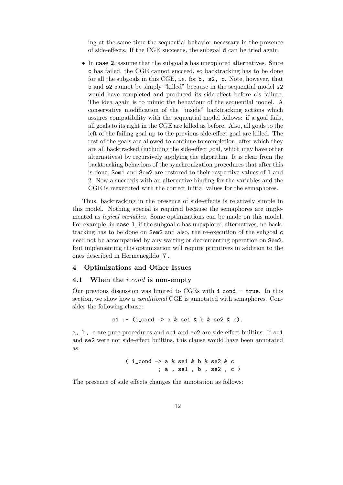ing at the same time the sequential behavior necessary in the presence of side-effects. If the CGE succeeds, the subgoal d can be tried again.

• In case 2, assume that the subgoal a has unexplored alternatives. Since c has failed, the CGE cannot succeed, so backtracking has to be done for all the subgoals in this CGE, i.e. for b, s2, c. Note, however, that b and s2 cannot be simply "killed" because in the sequential model s2 would have completed and produced its side-effect before c's failure. The idea again is to mimic the behaviour of the sequential model. A conservative modification of the "inside" backtracking actions which assures compatibility with the sequential model follows: if a goal fails, all goals to its right in the CGE are killed as before. Also, all goals to the left of the failing goal up to the previous side-effect goal are killed. The rest of the goals are allowed to continue to completion, after which they are all backtracked (including the side-effect goal, which may have other alternatives) by recursively applying the algorithm. It is clear from the backtracking behaviors of the synchronization procedures that after this is done, Sem1 and Sem2 are restored to their respective values of 1 and 2. Now a succeeds with an alternative binding for the variables and the CGE is reexecuted with the correct initial values for the semaphores.

Thus, backtracking in the presence of side-effects is relatively simple in this model. Nothing special is required because the semaphores are implemented as logical variables. Some optimizations can be made on this model. For example, in case 1, if the subgoal c has unexplored alternatives, no backtracking has to be done on Sem2 and also, the re-execution of the subgoal c need not be accompanied by any waiting or decrementing operation on Sem2. But implementing this optimization will require primitives in addition to the ones described in Hermenegildo [7].

#### 4 Optimizations and Other Issues

#### 4.1 When the  $i\_{cond}$  is non-empty

Our previous discussion was limited to CGEs with  $i$ -cond  $=$  true. In this section, we show how a *conditional* CGE is annotated with semaphores. Consider the following clause:

 $s1$  :- (i\_cond => a & se1 & b & se2 & c).

a, b, c are pure procedures and se1 and se2 are side effect builtins. If se1 and se2 were not side-effect builtins, this clause would have been annotated as:

$$
(i_{cond} \rightarrow a & se1 & b & se2 & c
$$
  
 $(i_{cond} \rightarrow a & se1 & b & se2 & c)$ 

The presence of side effects changes the annotation as follows: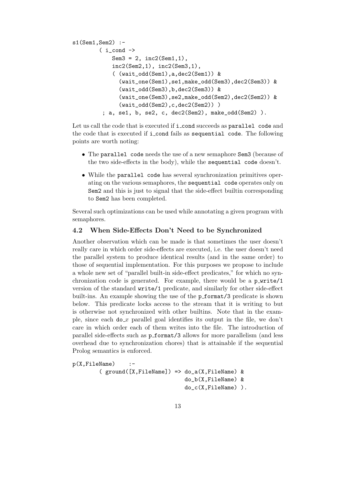```
s1(Sem1,Sem2) :-
        (i_{cond} ->
            Sem3 = 2, inc2(Sem1,1),
            inc2(Sem2,1), inc2(Sem3,1),
            ( (wait_odd(Sem1),a,dec2(Sem1)) &
              (wait_one(Sem1),se1,make_odd(Sem3),dec2(Sem3)) &
              (wait_odd(Sem3),b,dec2(Sem3)) &
              (wait_one(Sem3),se2,make_odd(Sem2),dec2(Sem2)) &
              (wait_odd(Sem2),c,dec2(Sem2)) )
         ; a, se1, b, se2, c, dec2(Sem2), make_odd(Sem2) ).
```
Let us call the code that is executed if **i\_cond** succeeds as **parallel** code and the code that is executed if i cond fails as sequential code. The following points are worth noting:

- The parallel code needs the use of a new semaphore Sem3 (because of the two side-effects in the body), while the sequential code doesn't.
- While the parallel code has several synchronization primitives operating on the various semaphores, the sequential code operates only on Sem2 and this is just to signal that the side-effect builtin corresponding to Sem2 has been completed.

Several such optimizations can be used while annotating a given program with semaphores.

# 4.2 When Side-Effects Don't Need to be Synchronized

Another observation which can be made is that sometimes the user doesn't really care in which order side-effects are executed, i.e. the user doesn't need the parallel system to produce identical results (and in the same order) to those of sequential implementation. For this purposes we propose to include a whole new set of "parallel built-in side-effect predicates," for which no synchronization code is generated. For example, there would be a  $p$ -write/1 version of the standard write/1 predicate, and similarly for other side-effect built-ins. An example showing the use of the  $p_{\text{format}}/3$  predicate is shown below. This predicate locks access to the stream that it is writing to but is otherwise not synchronized with other builtins. Note that in the example, since each  $\phi x$  parallel goal identifies its output in the file, we don't care in which order each of them writes into the file. The introduction of parallel side-effects such as p format/3 allows for more parallelism (and less overhead due to synchronization chores) that is attainable if the sequential Prolog semantics is enforced.

```
p(X,FileName) :-
        ( ground([X,FileName]) => do_a(X,FileName) &
                                  do_b(X,FileName) &
                                  do_c(X,FileName) ).
```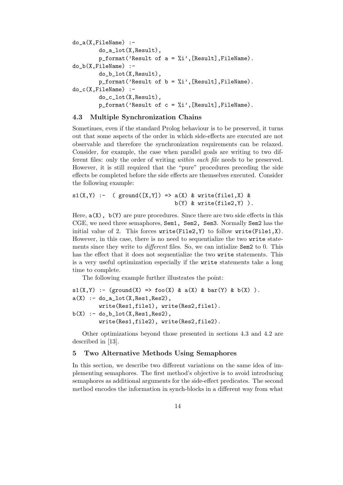```
do_a(X,FileName) :-
         do_a_lot(X,Result),
         p_{\text{format}}('Result of a = %i', [Result], FileName).do_b(X,FileName) :-
         do_b_lot(X,Result),
         p_{\text{format}}('Result of b = %i', [Result], FileName).do_c(X,FileName) :-
         do_c_lot(X,Result),
         p_format('Result of c = \frac{0}{2}i', [Result], FileName).
```
## 4.3 Multiple Synchronization Chains

Sometimes, even if the standard Prolog behaviour is to be preserved, it turns out that some aspects of the order in which side-effects are executed are not observable and therefore the synchronization requirements can be relaxed. Consider, for example, the case when parallel goals are writing to two different files: only the order of writing within each file needs to be preserved. However, it is still required that the "pure" procedures preceding the side effects be completed before the side effects are themselves executed. Consider the following example:

 $s1(X,Y)$  :- (  $ground([X,Y])$  =>  $a(X)$  & write(file1,X) &  $b(Y)$  & write(file2,  $Y)$ ).

Here,  $a(X)$ ,  $b(Y)$  are pure procedures. Since there are two side effects in this CGE, we need three semaphores, Sem1, Sem2, Sem3. Normally Sem2 has the initial value of 2. This forces  $write(File2, Y)$  to follow  $write(File1, X)$ . However, in this case, there is no need to sequentialize the two write statements since they write to *different* files. So, we can intialize Sem2 to 0. This has the effect that it does not sequentialize the two write statements. This is a very useful optimization especially if the write statements take a long time to complete.

The following example further illustrates the point:

```
s1(X,Y) :- (ground(X) => foo(X) & a(X) & bar(Y) & b(X) ).
a(X) :- do_a_lot(X, \text{Res1}, \text{Res2}),
        write(Res1,file1), write(Res2,file1).
b(X) :- do_b_lot(X, Res1, Res2),
        write(Res1,file2), write(Res2,file2).
```
Other optimizations beyond those presented in sections 4.3 and 4.2 are described in [13].

#### 5 Two Alternative Methods Using Semaphores

In this section, we describe two different variations on the same idea of implementing semaphores. The first method's objective is to avoid introducing semaphores as additional arguments for the side-effect predicates. The second method encodes the information in synch-blocks in a different way from what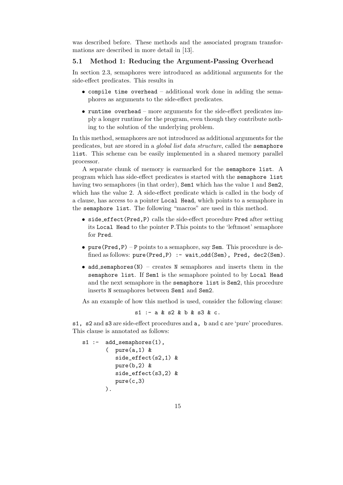was described before. These methods and the associated program transformations are described in more detail in [13].

# 5.1 Method 1: Reducing the Argument-Passing Overhead

In section 2.3, semaphores were introduced as additional arguments for the side-effect predicates. This results in

- compile time overhead additional work done in adding the semaphores as arguments to the side-effect predicates.
- runtime overhead more arguments for the side-effect predicates imply a longer runtime for the program, even though they contribute nothing to the solution of the underlying problem.

In this method, semaphores are not introduced as additional arguments for the predicates, but are stored in a global list data structure, called the semaphore list. This scheme can be easily implemented in a shared memory parallel processor.

A separate chunk of memory is earmarked for the semaphore list. A program which has side-effect predicates is started with the semaphore list having two semaphores (in that order), Sem1 which has the value 1 and Sem2, which has the value 2. A side-effect predicate which is called in the body of a clause, has access to a pointer Local Head, which points to a semaphore in the semaphore list. The following "macros" are used in this method.

- side effect(Pred,P) calls the side-effect procedure Pred after setting its Local Head to the pointer P.This points to the 'leftmost' semaphore for Pred.
- pure(Pred,  $P$ ) P points to a semaphore, say Sem. This procedure is defined as follows: pure(Pred, P) : - wait\_odd(Sem), Pred, dec2(Sem).
- add\_semaphores( $N$ ) creates  $N$  semaphores and inserts them in the semaphore list. If Sem1 is the semaphore pointed to by Local Head and the next semaphore in the semaphore list is Sem2, this procedure inserts N semaphores between Sem1 and Sem2.

As an example of how this method is used, consider the following clause:

 $s1 - a & s2 & b & s3 & c.$ 

s1, s2 and s3 are side-effect procedures and a, b and c are 'pure' procedures. This clause is annotated as follows:

```
s1 :- add_semaphores(1),
       ( pure(a,1) &
          side_effect(s2,1) &
          pure(b,2) &
          side_effect(s3,2) &
          pure(c,3)
       ).
```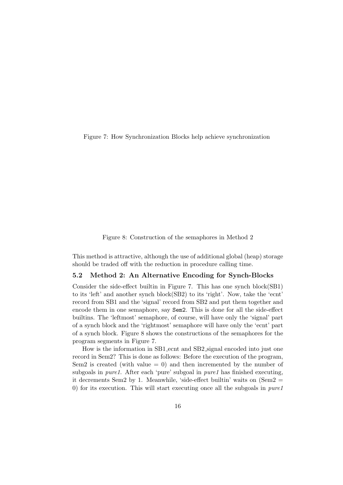Figure 7: How Synchronization Blocks help achieve synchronization

Figure 8: Construction of the semaphores in Method 2

This method is attractive, although the use of additional global (heap) storage should be traded off with the reduction in procedure calling time.

# 5.2 Method 2: An Alternative Encoding for Synch-Blocks

Consider the side-effect builtin in Figure 7. This has one synch block(SB1) to its 'left' and another synch block(SB2) to its 'right'. Now, take the 'ecnt' record from SB1 and the 'signal' record from SB2 and put them together and encode them in one semaphore, say Sem2. This is done for all the side-effect builtins. The 'leftmost' semaphore, of course, will have only the 'signal' part of a synch block and the 'rightmost' semaphore will have only the 'ecnt' part of a synch block. Figure 8 shows the constructions of the semaphores for the program segments in Figure 7.

How is the information in SB1 ecnt and SB2 signal encoded into just one record in Sem2? This is done as follows: Before the execution of the program, Sem2 is created (with value  $= 0$ ) and then incremented by the number of subgoals in *pure1*. After each 'pure' subgoal in *pure1* has finished executing, it decrements Sem2 by 1. Meanwhile, 'side-effect builtin' waits on  $(Sem2 =$ 0) for its execution. This will start executing once all the subgoals in pure1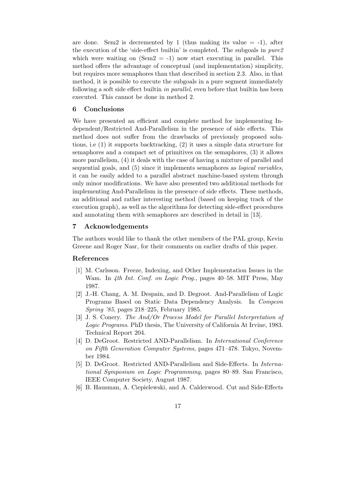are done. Sem2 is decremented by 1 (thus making its value  $= -1$ ), after the execution of the 'side-effect builtin' is completed. The subgoals in pure2 which were waiting on  $(Sem2 = -1)$  now start executing in parallel. This method offers the advantage of conceptual (and implementation) simplicity, but requires more semaphores than that described in section 2.3. Also, in that method, it is possible to execute the subgoals in a pure segment immediately following a soft side effect builtin in parallel, even before that builtin has been executed. This cannot be done in method 2.

## 6 Conclusions

We have presented an efficient and complete method for implementing Independent/Restricted And-Parallelism in the presence of side effects. This method does not suffer from the drawbacks of previously proposed solutions, i.e (1) it supports backtracking, (2) it uses a simple data structure for semaphores and a compact set of primitives on the semaphores, (3) it allows more parallelism, (4) it deals with the case of having a mixture of parallel and sequential goals, and (5) since it implements semaphores as logical variables, it can be easily added to a parallel abstract machine-based system through only minor modifications. We have also presented two additional methods for implementing And-Parallelism in the presence of side effects. These methods, an additional and rather interesting method (based on keeping track of the execution graph), as well as the algorithms for detecting side-effect procedures and annotating them with semaphores are described in detail in [13].

## 7 Acknowledgements

The authors would like to thank the other members of the PAL group, Kevin Greene and Roger Nasr, for their comments on earlier drafts of this paper.

#### References

- [1] M. Carlsson. Freeze, Indexing, and Other Implementation Issues in the Wam. In 4th Int. Conf. on Logic Prog., pages 40–58. MIT Press, May 1987.
- [2] J.-H. Chang, A. M. Despain, and D. Degroot. And-Parallelism of Logic Programs Based on Static Data Dependency Analysis. In Compcon Spring '85, pages 218–225, February 1985.
- [3] J. S. Conery. The And/Or Process Model for Parallel Interpretation of Logic Programs. PhD thesis, The University of California At Irvine, 1983. Technical Report 204.
- [4] D. DeGroot. Restricted AND-Parallelism. In International Conference on Fifth Generation Computer Systems, pages 471–478. Tokyo, November 1984.
- [5] D. DeGroot. Restricted AND-Parallelism and Side-Effects. In International Symposium on Logic Programming, pages 80–89. San Francisco, IEEE Computer Society, August 1987.
- [6] B. Hausman, A. Ciepielewski, and A. Calderwood. Cut and Side-Effects